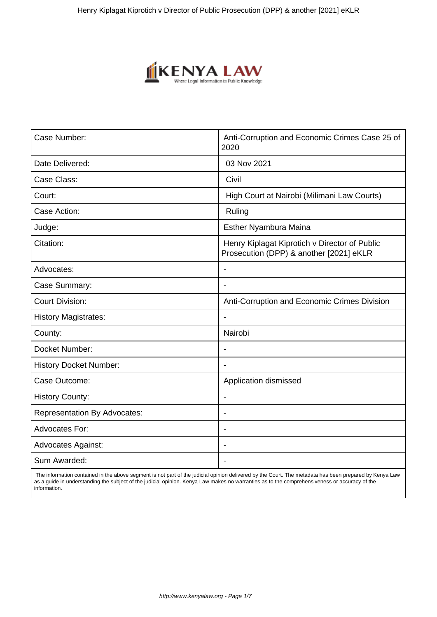

| Case Number:                        | Anti-Corruption and Economic Crimes Case 25 of<br>2020                                   |
|-------------------------------------|------------------------------------------------------------------------------------------|
| Date Delivered:                     | 03 Nov 2021                                                                              |
| Case Class:                         | Civil                                                                                    |
| Court:                              | High Court at Nairobi (Milimani Law Courts)                                              |
| Case Action:                        | Ruling                                                                                   |
| Judge:                              | Esther Nyambura Maina                                                                    |
| Citation:                           | Henry Kiplagat Kiprotich v Director of Public<br>Prosecution (DPP) & another [2021] eKLR |
| Advocates:                          |                                                                                          |
| Case Summary:                       | $\blacksquare$                                                                           |
| <b>Court Division:</b>              | Anti-Corruption and Economic Crimes Division                                             |
| <b>History Magistrates:</b>         |                                                                                          |
| County:                             | Nairobi                                                                                  |
| Docket Number:                      | $\blacksquare$                                                                           |
| <b>History Docket Number:</b>       |                                                                                          |
| Case Outcome:                       | Application dismissed                                                                    |
| <b>History County:</b>              |                                                                                          |
| <b>Representation By Advocates:</b> | $\blacksquare$                                                                           |
| <b>Advocates For:</b>               | $\blacksquare$                                                                           |
| <b>Advocates Against:</b>           |                                                                                          |
| Sum Awarded:                        |                                                                                          |

 The information contained in the above segment is not part of the judicial opinion delivered by the Court. The metadata has been prepared by Kenya Law as a guide in understanding the subject of the judicial opinion. Kenya Law makes no warranties as to the comprehensiveness or accuracy of the information.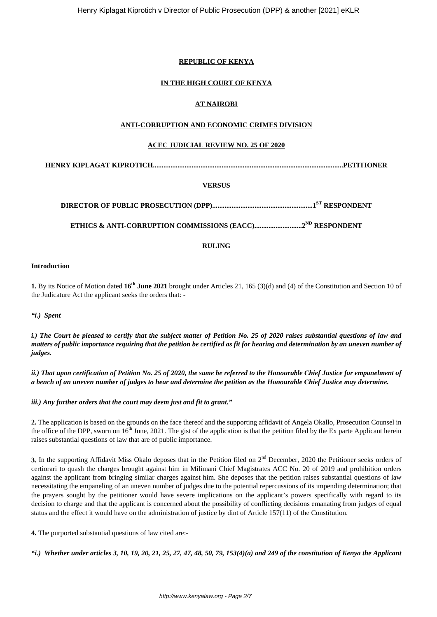## **REPUBLIC OF KENYA**

## **IN THE HIGH COURT OF KENYA**

# **AT NAIROBI**

## **ANTI-CORRUPTION AND ECONOMIC CRIMES DIVISION**

### **ACEC JUDICIAL REVIEW NO. 25 OF 2020**

**HENRY KIPLAGAT KIPROTICH............................................................................................................PETITIONER**

### **VERSUS**

**DIRECTOR OF PUBLIC PROSECUTION (DPP).........................................................1ST RESPONDENT**

**ETHICS & ANTI-CORRUPTION COMMISSIONS (EACC)...........................2ND RESPONDENT**

### **RULING**

#### **Introduction**

**1.** By its Notice of Motion dated **16th June 2021** brought under Articles 21, 165 (3)(d) and (4) of the Constitution and Section 10 of the Judicature Act the applicant seeks the orders that: -

*"i.) Spent*

*i.) The Court be pleased to certify that the subject matter of Petition No. 25 of 2020 raises substantial questions of law and matters of public importance requiring that the petition be certified as fit for hearing and determination by an uneven number of judges.*

*ii.) That upon certification of Petition No. 25 of 2020, the same be referred to the Honourable Chief Justice for empanelment of a bench of an uneven number of judges to hear and determine the petition as the Honourable Chief Justice may determine.*

*iii.) Any further orders that the court may deem just and fit to grant."*

**2.** The application is based on the grounds on the face thereof and the supporting affidavit of Angela Okallo, Prosecution Counsel in the office of the DPP, sworn on  $16<sup>th</sup>$  June, 2021. The gist of the application is that the petition filed by the Ex parte Applicant herein raises substantial questions of law that are of public importance.

**3.** In the supporting Affidavit Miss Okalo deposes that in the Petition filed on  $2<sup>nd</sup>$  December, 2020 the Petitioner seeks orders of certiorari to quash the charges brought against him in Milimani Chief Magistrates ACC No. 20 of 2019 and prohibition orders against the applicant from bringing similar charges against him. She deposes that the petition raises substantial questions of law necessitating the empaneling of an uneven number of judges due to the potential repercussions of its impending determination; that the prayers sought by the petitioner would have severe implications on the applicant's powers specifically with regard to its decision to charge and that the applicant is concerned about the possibility of conflicting decisions emanating from judges of equal status and the effect it would have on the administration of justice by dint of Article 157(11) of the Constitution.

**4.** The purported substantial questions of law cited are:-

*"i.) Whether under articles 3, 10, 19, 20, 21, 25, 27, 47, 48, 50, 79, 153(4)(a) and 249 of the constitution of Kenya the Applicant*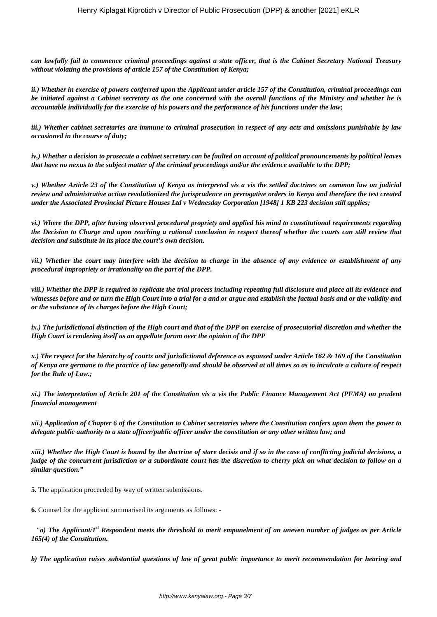*can lawfully fail to commence criminal proceedings against a state officer, that is the Cabinet Secretary National Treasury without violating the provisions of article 157 of the Constitution of Kenya;*

*ii.) Whether in exercise of powers conferred upon the Applicant under article 157 of the Constitution, criminal proceedings can be initiated against a Cabinet secretary as the one concerned with the overall functions of the Ministry and whether he is accountable individually for the exercise of his powers and the performance of his functions under the law;*

*iii.) Whether cabinet secretaries are immune to criminal prosecution in respect of any acts and omissions punishable by law occasioned in the course of duty;*

*iv.) Whether a decision to prosecute a cabinet secretary can be faulted on account of political pronouncements by political leaves that have no nexus to the subject matter of the criminal proceedings and/or the evidence available to the DPP;*

*v.) Whether Article 23 of the Constitution of Kenya as interpreted vis a vis the settled doctrines on common law on judicial review and administrative action revolutionized the jurisprudence on prerogative orders in Kenya and therefore the test created under the Associated Provincial Picture Houses Ltd v Wednesday Corporation [1948] 1 KB 223 decision still applies;*

*vi.) Where the DPP, after having observed procedural propriety and applied his mind to constitutional requirements regarding the Decision to Charge and upon reaching a rational conclusion in respect thereof whether the courts can still review that decision and substitute in its place the court's own decision.*

*vii.) Whether the court may interfere with the decision to charge in the absence of any evidence or establishment of any procedural impropriety or irrationality on the part of the DPP.* 

*viii.) Whether the DPP is required to replicate the trial process including repeating full disclosure and place all its evidence and witnesses before and or turn the High Court into a trial for a and or argue and establish the factual basis and or the validity and or the substance of its charges before the High Court;*

*ix.) The jurisdictional distinction of the High court and that of the DPP on exercise of prosecutorial discretion and whether the High Court is rendering itself as an appellate forum over the opinion of the DPP*

*x.) The respect for the hierarchy of courts and jurisdictional deference as espoused under Article 162 & 169 of the Constitution of Kenya are germane to the practice of law generally and should be observed at all times so as to inculcate a culture of respect for the Rule of Law.;*

*xi.) The interpretation of Article 201 of the Constitution vis a vis the Public Finance Management Act (PFMA) on prudent financial management*

*xii.) Application of Chapter 6 of the Constitution to Cabinet secretaries where the Constitution confers upon them the power to delegate public authority to a state officer/public officer under the constitution or any other written law; and*

*xiii.) Whether the High Court is bound by the doctrine of stare decisis and if so in the case of conflicting judicial decisions, a judge of the concurrent jurisdiction or a subordinate court has the discretion to cherry pick on what decision to follow on a similar question."*

**5.** The application proceeded by way of written submissions.

**6.** Counsel for the applicant summarised its arguments as follows: -

*"a) The Applicant/1st Respondent meets the threshold to merit empanelment of an uneven number of judges as per Article 165(4) of the Constitution.*

*b) The application raises substantial questions of law of great public importance to merit recommendation for hearing and*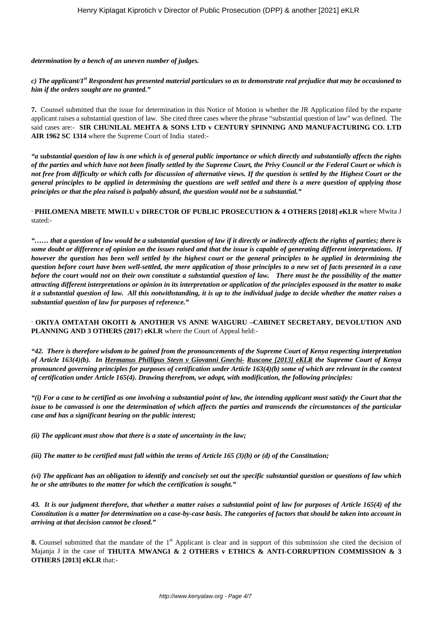*determination by a bench of an uneven number of judges.*

*c) The applicant/1st Respondent has presented material particulars so as to demonstrate real prejudice that may be occasioned to him if the orders sought are no granted."*

**7.** Counsel submitted that the issue for determination in this Notice of Motion is whether the JR Application filed by the exparte applicant raises a substantial question of law. She cited three cases where the phrase "substantial question of law" was defined. The said cases are:- **SIR CHUNILAL MEHTA & SONS LTD v CENTURY SPINNING AND MANUFACTURING CO. LTD AIR 1962 SC 1314** where the Supreme Court of India stated:-

*"a substantial question of law is one which is of general public importance or which directly and substantially affects the rights of the parties and which have not been finally settled by the Supreme Court, the Privy Council or the Federal Court or which is not free from difficulty or which calls for discussion of alternative views. If the question is settled by the Highest Court or the general principles to be applied in determining the questions are well settled and there is a mere question of applying those principles or that the plea raised is palpably absurd, the question would not be a substantial."*

· **PHILOMENA MBETE MWILU v DIRECTOR OF PUBLIC PROSECUTION & 4 OTHERS [2018] eKLR** where Mwita J stated:-

*"…… that a question of law would be a substantial question of law if it directly or indirectly affects the rights of parties; there is some doubt or difference of opinion on the issues raised and that the issue is capable of generating different interpretations. If however the question has been well settled by the highest court or the general principles to be applied in determining the question before court have been well-settled, the mere application of those principles to a new set of facts presented in a case before the court would not on their own constitute a substantial question of law. There must be the possibility of the matter attracting different interpretations or opinion in its interpretation or application of the principles espoused in the matter to make it a substantial question of law. All this notwithstanding, it is up to the individual judge to decide whether the matter raises a substantial question of law for purposes of reference."*

· **OKIYA OMTATAH OKOITI & ANOTHER VS ANNE WAIGURU –CABINET SECRETARY, DEVOLUTION AND PLANNING AND 3 OTHERS (2017**) **eKLR** where the Court of Appeal held:-

*"42. There is therefore wisdom to be gained from the pronouncements of the Supreme Court of Kenya respecting interpretation of Article 163(4)(b). In Hermanus Phillipus Steyn v Giovanni Gnechi- Ruscone [2013] eKLR the Supreme Court of Kenya pronounced governing principles for purposes of certification under Article 163(4)(b) some of which are relevant in the context of certification under Article 165(4). Drawing therefrom, we adopt, with modification, the following principles:*

*"(i) For a case to be certified as one involving a substantial point of law, the intending applicant must satisfy the Court that the issue to be canvassed is one the determination of which affects the parties and transcends the circumstances of the particular case and has a significant bearing on the public interest;*

*(ii) The applicant must show that there is a state of uncertainty in the law;*

*(iii) The matter to be certified must fall within the terms of Article 165 (3)(b) or (d) of the Constitution;*

*(vi) The applicant has an obligation to identify and concisely set out the specific substantial question or questions of law which he or she attributes to the matter for which the certification is sought."*

*43. It is our judgment therefore, that whether a matter raises a substantial point of law for purposes of Article 165(4) of the Constitution is a matter for determination on a case-by-case basis. The categories of factors that should be taken into account in arriving at that decision cannot be closed."*

**8.** Counsel submitted that the mandate of the 1<sup>st</sup> Applicant is clear and in support of this submission she cited the decision of Majanja J in the case of **THUITA MWANGI & 2 OTHERS v ETHICS & ANTI-CORRUPTION COMMISSION & 3 OTHERS [2013] eKLR** that:-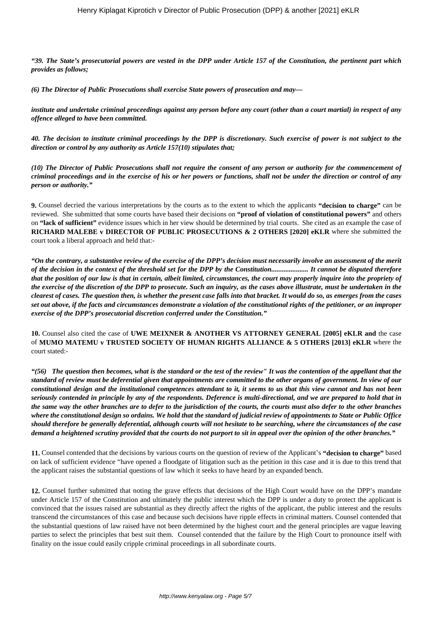*"39. The State's prosecutorial powers are vested in the DPP under Article 157 of the Constitution, the pertinent part which provides as follows;*

*(6) The Director of Public Prosecutions shall exercise State powers of prosecution and may—*

*institute and undertake criminal proceedings against any person before any court (other than a court martial) in respect of any offence alleged to have been committed.*

*40. The decision to institute criminal proceedings by the DPP is discretionary. Such exercise of power is not subject to the direction or control by any authority as Article 157(10) stipulates that;*

*(10) The Director of Public Prosecutions shall not require the consent of any person or authority for the commencement of criminal proceedings and in the exercise of his or her powers or functions, shall not be under the direction or control of any person or authority."*

**9.** Counsel decried the various interpretations by the courts as to the extent to which the applicants **"decision to charge"** can be reviewed. She submitted that some courts have based their decisions on **"proof of violation of constitutional powers"** and others on **"lack of sufficient"** evidence issues which in her view should be determined by trial courts. She cited as an example the case of **RICHARD MALEBE v DIRECTOR OF PUBLIC PROSECUTIONS & 2 OTHERS [2020] eKLR** where she submitted the court took a liberal approach and held that:-

*"On the contrary, a substantive review of the exercise of the DPP's decision must necessarily involve an assessment of the merit of the decision in the context of the threshold set for the DPP by the Constitution..................... It cannot be disputed therefore that the position of our law is that in certain, albeit limited, circumstances, the court may properly inquire into the propriety of the exercise of the discretion of the DPP to prosecute. Such an inquiry, as the cases above illustrate, must be undertaken in the clearest of cases. The question then, is whether the present case falls into that bracket. It would do so, as emerges from the cases set out above, if the facts and circumstances demonstrate a violation of the constitutional rights of the petitioner, or an improper exercise of the DPP's prosecutorial discretion conferred under the Constitution."*

**10.** Counsel also cited the case of **UWE MEIXNER & ANOTHER VS ATTORNEY GENERAL [2005] eKLR and** the case of **MUMO MATEMU v TRUSTED SOCIETY OF HUMAN RIGHTS ALLIANCE & 5 OTHERS [2013] eKLR** where the court stated:-

*"(56) The question then becomes, what is the standard or the test of the review" It was the contention of the appellant that the standard of review must be deferential given that appointments are committed to the other organs of government. In view of our constitutional design and the institutional competences attendant to it, it seems to us that this view cannot and has not been seriously contended in principle by any of the respondents. Deference is multi-directional, and we are prepared to hold that in the same way the other branches are to defer to the jurisdiction of the courts, the courts must also defer to the other branches where the constitutional design so ordains. We hold that the standard of judicial review of appointments to State or Public Office should therefore be generally deferential, although courts will not hesitate to be searching, where the circumstances of the case demand a heightened scrutiny provided that the courts do not purport to sit in appeal over the opinion of the other branches."*

**11.** Counsel contended that the decisions by various courts on the question of review of the Applicant's **"decision to charge"** based on lack of sufficient evidence "have opened a floodgate of litigation such as the petition in this case and it is due to this trend that the applicant raises the substantial questions of law which it seeks to have heard by an expanded bench.

**12.** Counsel further submitted that noting the grave effects that decisions of the High Court would have on the DPP's mandate under Article 157 of the Constitution and ultimately the public interest which the DPP is under a duty to protect the applicant is convinced that the issues raised are substantial as they directly affect the rights of the applicant, the public interest and the results transcend the circumstances of this case and because such decisions have ripple effects in criminal matters. Counsel contended that the substantial questions of law raised have not been determined by the highest court and the general principles are vague leaving parties to select the principles that best suit them. Counsel contended that the failure by the High Court to pronounce itself with finality on the issue could easily cripple criminal proceedings in all subordinate courts.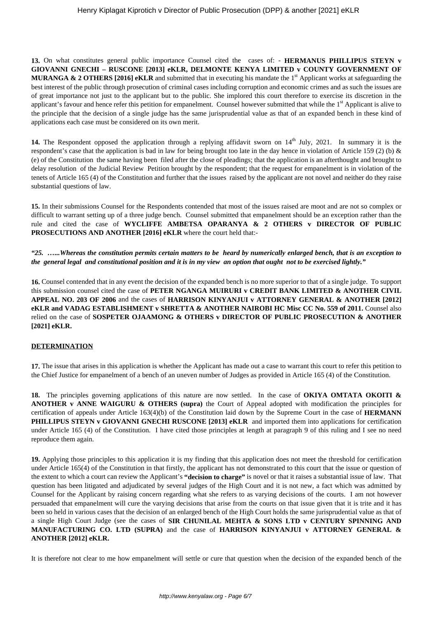**13.** On what constitutes general public importance Counsel cited the cases of: - **HERMANUS PHILLIPUS STEYN v GIOVANNI GNECHI – RUSCONE [2013] eKLR, DELMONTE KENYA LIMITED v COUNTY GOVERNMENT OF MURANGA & 2 OTHERS [2016] eKLR** and submitted that in executing his mandate the 1<sup>st</sup> Applicant works at safeguarding the best interest of the public through prosecution of criminal cases including corruption and economic crimes and as such the issues are of great importance not just to the applicant but to the public. She implored this court therefore to exercise its discretion in the applicant's favour and hence refer this petition for empanelment. Counsel however submitted that while the  $1<sup>st</sup>$  Applicant is alive to the principle that the decision of a single judge has the same jurisprudential value as that of an expanded bench in these kind of applications each case must be considered on its own merit.

14. The Respondent opposed the application through a replying affidavit sworn on 14<sup>th</sup> July, 2021. In summary it is the respondent's case that the application is bad in law for being brought too late in the day hence in violation of Article 159 (2) (b) & (e) of the Constitution the same having been filed after the close of pleadings; that the application is an afterthought and brought to delay resolution of the Judicial Review Petition brought by the respondent; that the request for empanelment is in violation of the tenets of Article 165 (4) of the Constitution and further that the issues raised by the applicant are not novel and neither do they raise substantial questions of law.

**15.** In their submissions Counsel for the Respondents contended that most of the issues raised are moot and are not so complex or difficult to warrant setting up of a three judge bench. Counsel submitted that empanelment should be an exception rather than the rule and cited the case of **WYCLIFFE AMBETSA OPARANYA & 2 OTHERS v DIRECTOR OF PUBLIC PROSECUTIONS AND ANOTHER [2016] eKLR** where the court held that:-

*"25. …...Whereas the constitution permits certain matters to be heard by numerically enlarged bench, that is an exception to the general legal and constitutional position and it is in my view an option that ought not to be exercised lightly."*

**16.** Counsel contended that in any event the decision of the expanded bench is no more superior to that of a single judge. To support this submission counsel cited the case of **PETER NGANGA MUIRURI v CREDIT BANK LIMITED & ANOTHER CIVIL APPEAL NO. 203 OF 2006** and the cases of **HARRISON KINYANJUI v ATTORNEY GENERAL & ANOTHER [2012] eKLR and VADAG ESTABLISHMENT v SHRETTA & ANOTHER NAIROBI HC Misc CC No. 559 of 2011.** Counsel also relied on the case of **SOSPETER OJAAMONG & OTHERS v DIRECTOR OF PUBLIC PROSECUTION & ANOTHER [2021] eKLR.**

#### **DETERMINATION**

**17.** The issue that arises in this application is whether the Applicant has made out a case to warrant this court to refer this petition to the Chief Justice for empanelment of a bench of an uneven number of Judges as provided in Article 165 (4) of the Constitution.

**18.** The principles governing applications of this nature are now settled. In the case of **OKIYA OMTATA OKOITI & ANOTHER v ANNE WAIGURU & OTHERS (supra)** the Court of Appeal adopted with modification the principles for certification of appeals under Article 163(4)(b) of the Constitution laid down by the Supreme Court in the case of **HERMANN PHILLIPUS STEYN v GIOVANNI GNECHI RUSCONE [2013] eKLR** and imported them into applications for certification under Article 165 (4) of the Constitution. I have cited those principles at length at paragraph 9 of this ruling and I see no need reproduce them again.

**19.** Applying those principles to this application it is my finding that this application does not meet the threshold for certification under Article 165(4) of the Constitution in that firstly, the applicant has not demonstrated to this court that the issue or question of the extent to which a court can review the Applicant's **"decision to charge"** is novel or that it raises a substantial issue of law. That question has been litigated and adjudicated by several judges of the High Court and it is not new, a fact which was admitted by Counsel for the Applicant by raising concern regarding what she refers to as varying decisions of the courts. I am not however persuaded that empanelment will cure the varying decisions that arise from the courts on that issue given that it is trite and it has been so held in various cases that the decision of an enlarged bench of the High Court holds the same jurisprudential value as that of a single High Court Judge (see the cases of **SIR CHUNILAL MEHTA & SONS LTD v CENTURY SPINNING AND MANUFACTURING CO. LTD (SUPRA)** and the case of **HARRISON KINYANJUI v ATTORNEY GENERAL & ANOTHER [2012] eKLR.**

It is therefore not clear to me how empanelment will settle or cure that question when the decision of the expanded bench of the